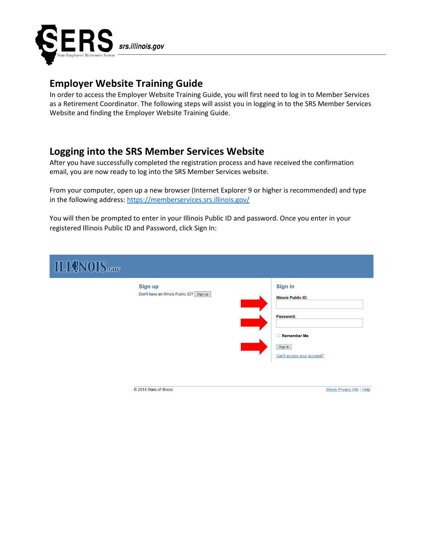

# **Employer Website Training Guide**

In order to access the Employer Website Training Guide, you will first need to log in to Member Services as a Retirement Coordinator. The following steps will assist you in logging in to the SRS Member Services Website and finding the Employer Website Training Guide.

### **Logging into the SRS Member Services Website**

© 2014 State of Illinois

After you have successfully completed the registration process and have received the confirmation email, you are now ready to log into the SRS Member Services website.

From your computer, open up a new browser (Internet Explorer 9 or higher is recommended) and type in the following address:<https://memberservices.srs.illinois.gov/>

You will then be prompted to enter in your Illinois Public ID and password. Once you enter in your registered Illinois Public ID and Password, click Sign In:

| <b>ILIQNOIS.cov</b> |                                                             |                                                      |
|---------------------|-------------------------------------------------------------|------------------------------------------------------|
|                     | <b>Sign up</b><br>Don't have an Illinois Public ID? Sign Up | <b>Sign in</b><br><b>Illinois Public ID:</b>         |
|                     |                                                             | Password:                                            |
|                     |                                                             | Remember Me<br>Sign In<br>Can't access your account? |
|                     |                                                             |                                                      |

**Illinois Privacy Info | Help**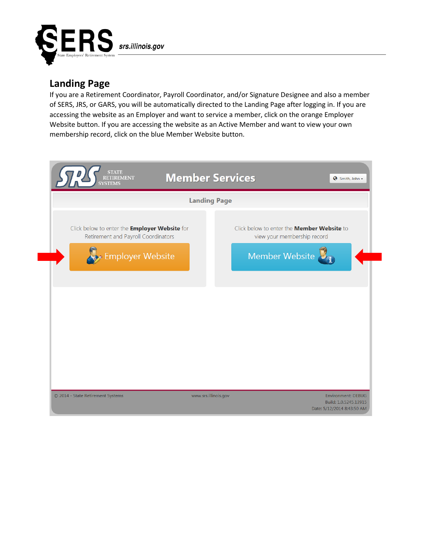

### **Landing Page**

If you are a Retirement Coordinator, Payroll Coordinator, and/or Signature Designee and also a member of SERS, JRS, or GARS, you will be automatically directed to the Landing Page after logging in. If you are accessing the website as an Employer and want to service a member, click on the orange Employer Website button. If you are accessing the website as an Active Member and want to view your own membership record, click on the blue Member Website button.

| <b>Landing Page</b>                                                                         |                                                                                  |  |  |  |  |
|---------------------------------------------------------------------------------------------|----------------------------------------------------------------------------------|--|--|--|--|
| Click below to enter the <b>Employer Website</b> for<br>Retirement and Payroll Coordinators | Click below to enter the <b>Member Website</b> to<br>view your membership record |  |  |  |  |
| Employer Website                                                                            | Member Website                                                                   |  |  |  |  |
|                                                                                             |                                                                                  |  |  |  |  |
|                                                                                             |                                                                                  |  |  |  |  |
|                                                                                             |                                                                                  |  |  |  |  |
|                                                                                             |                                                                                  |  |  |  |  |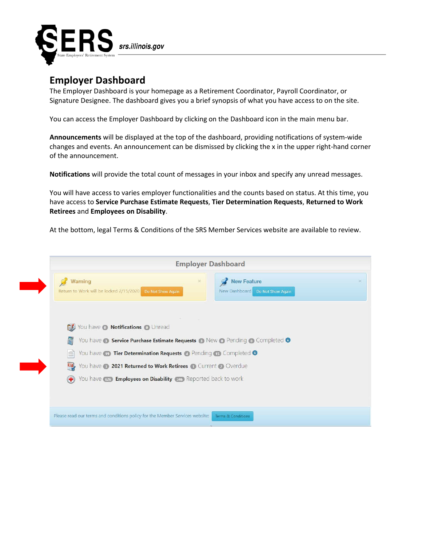

### **Employer Dashboard**

The Employer Dashboard is your homepage as a Retirement Coordinator, Payroll Coordinator, or Signature Designee. The dashboard gives you a brief synopsis of what you have access to on the site.

You can access the Employer Dashboard by clicking on the Dashboard icon in the main menu bar.

**Announcements** will be displayed at the top of the dashboard, providing notifications of system-wide changes and events. An announcement can be dismissed by clicking the x in the upper right-hand corner of the announcement.

**Notifications** will provide the total count of messages in your inbox and specify any unread messages.

You will have access to varies employer functionalities and the counts based on status. At this time, you have access to **Service Purchase Estimate Requests**, **Tier Determination Requests**, **Returned to Work Retirees** and **Employees on Disability**.

At the bottom, legal Terms & Conditions of the SRS Member Services website are available to review.

| <b>New Feature</b><br>$\times$<br>Warning<br>×<br>Return to Work will be locked 2/15/2020 Do Not Show Again<br>New Dashboard Do Not Show Again<br>Vou have @ Notifications @ Unread<br>圖<br>You have <b>8 Service Purchase Estimate Requests 8</b> New <b>0</b> Pending <b>0</b> Completed <b>0</b><br>You have <b>D</b> Tier Determination Requests <b>C</b> Pending <b>T</b> Completed <b>O</b><br>Vou have 3 2021 Returned to Work Retirees 1 Current 2 Overdue<br>You have <b>the Employees on Disability</b> and Reported back to work |                                                                              | <b>Employer Dashboard</b> |                               |  |
|---------------------------------------------------------------------------------------------------------------------------------------------------------------------------------------------------------------------------------------------------------------------------------------------------------------------------------------------------------------------------------------------------------------------------------------------------------------------------------------------------------------------------------------------|------------------------------------------------------------------------------|---------------------------|-------------------------------|--|
|                                                                                                                                                                                                                                                                                                                                                                                                                                                                                                                                             |                                                                              |                           |                               |  |
|                                                                                                                                                                                                                                                                                                                                                                                                                                                                                                                                             |                                                                              |                           |                               |  |
|                                                                                                                                                                                                                                                                                                                                                                                                                                                                                                                                             |                                                                              |                           |                               |  |
|                                                                                                                                                                                                                                                                                                                                                                                                                                                                                                                                             |                                                                              |                           |                               |  |
|                                                                                                                                                                                                                                                                                                                                                                                                                                                                                                                                             |                                                                              |                           |                               |  |
|                                                                                                                                                                                                                                                                                                                                                                                                                                                                                                                                             | Please read our terms and conditions policy for the Member Services website: |                           | <b>Terms &amp; Conditions</b> |  |